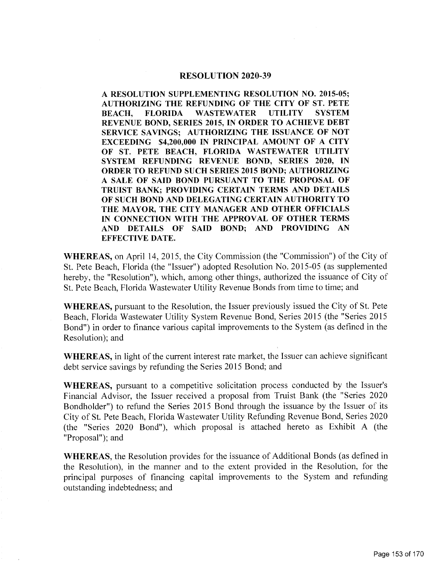#### RESOLUTION 2020-39

A RESOLUTION SUPPLEMENTING RESOLUTION NO. 2015-05; AUTHORIZING THE REFUNDING OF THE CITY OF ST. PETE BEACH, FLORIDA WASTEWATER UTILITY SYSTEM REVENUE BOND, SERIES 2015, IN ORDER TO ACHIEVE DEBT SERVICE SAVINGS; AUTHORIZING THE ISSUANCE OF NOT EXCEEDING \$4,200,000 IN PRINCIPAL AMOUNT OF A CITY OF ST. PETE BEACH, FLORIDA WASTEWATER UTILITY SYSTEM REFUNDING REVENUE BOND, SERIES 2020, IN ORDER TO REFUND SUCH SERIES 2015 BOND; AUTHORIZING A SALE OF SAID BOND PURSUANT TO THE PROPOSAL OF TRUIST BANK; PROVIDING CERTAIN TERMS AND DETAILS OF SUCH BOND AND DELEGATING CERTAIN AUTHORITY TO THE MAYOR, THE CITY MANAGER AND OTHER OFFICIALS IN CONNECTION WITH THE APPROVAL OF OTHER TERMS AND DETAILS OF SAID BOND; AND PROVIDING AN EFFECTIVE DATE.

WHEREAS, on April 14, 2015, the City Commission (the "Commission") of the City of St. Pete Beach, Florida (the "Issuer") adopted Resolution No. 2015-05 (as supplemented hereby, the "Resolution"), which, among other things, authorized the issuance of City of St. Pete Beach, Florida Wastewater Utility Revenue Bonds from time to time; and

WHEREAS, pursuant to the Resolution, the Issuer previously issued the City of St. Pete Beach, Florida Wastewater Utility System Revenue Bond, Series 2015 (the "Series 2015 Bond") in order to finance various capital improvements to the System (as defined in the Resolution); and

WHEREAS, in light of the current interest rate market, the Issuer can achieve significant debt service savings by refunding the Series 2015 Bond; and

WHEREAS, pursuant to a competitive solicitation process conducted by the Issuer's Financial Advisor, the Issuer received a proposal from Truist Bank (the "Series 2020 Bondholder") to refund the Series 2015 Bond through the issuance by the Issuer of its City of St. Pete Beach, Florida Wastewater Utility Refunding Revenue Bond, Series 2020 (the "Series  $2020$  Bond"), which proposal is attached hereto as Exhibit A (the Proposal"); and

WHEREAS, the Resolution provides for the issuance of Additional Bonds (as defined in the Resolution), in the manner and to the extent provided in the Resolution, for the principal purposes of financing capital improvements to the System and refunding outstanding indebtedness; and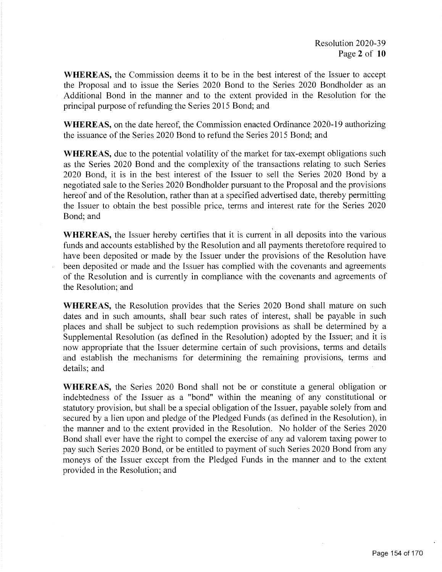WHEREAS, the Commission deems it to be in the best interest of the Issuer to accept the Proposal and to issue the Series 2020 Bond to the Series 2020 Bondholder as an Additional Bond in the manner and to the extent provided in the Resolution for the principal purpose of refunding the Series 2015 Bond; and

WHEREAS, on the date hereof, the Commission enacted Ordinance 2020-19 authorizing the issuance of the Series 2020 Bond to refund the Series 2015 Bond; and

WHEREAS, due to the potential volatility of the market for tax-exempt obligations such as the Series 2020 Bond and the complexity of the transactions relating to such Series 2020 Bond, it is in the best interest of the Issuer to sell the Series 2020 Bond by a negotiated sale to the Series 2020 Bondholder pursuant to the Proposal and the provisions hereof and of the Resolution, rather than at a specified advertised date, thereby permitting the Issuer to obtain the best possible price, terms and interest rate for the Series 2020 Bond; and

WHEREAS, the Issuer hereby certifies that it is current in all deposits into the various funds and accounts established by the Resolution and all payments theretofore required to have been deposited or made by the Issuer under the provisions of the Resolution have been deposited or made and the Issuer has complied with the covenants and agreements of the Resolution and is currently in compliance with the covenants and agreements of the Resolution; and

WHEREAS, the Resolution provides that the Series 2020 Bond shall mature on such dates and in such amounts, shall bear such rates of interest, shall be payable in such places and shall be subject to such redemption provisions as shall be determined by a Supplemental Resolution (as defined in the Resolution) adopted by the Issuer; and it is now appropriate that the Issuer determine certain of such provisions, terms and details and establish the mechanisms for determining the remaining provisions, terms and details; and

WHEREAS, the Series 2020 Bond shall not be or constitute a general obligation or indebtedness of the Issuer as a " bond" within the meaning of any constitutional or statutory provision, but shall be a special obligation of the Issuer, payable solely from and secured by a lien upon and pledge of the Pledged Funds (as defined in the Resolution), in the manner and to the extent provided in the Resolution. No holder of the Series 2020 Bond shall ever have the right to compel the exercise of any ad valorem taxing power to pay such Series 2020 Bond, or be entitled to payment of such Series 2020 Bond from any moneys of the Issuer except from the Pledged Funds in the manner and to the extent provided in the Resolution; and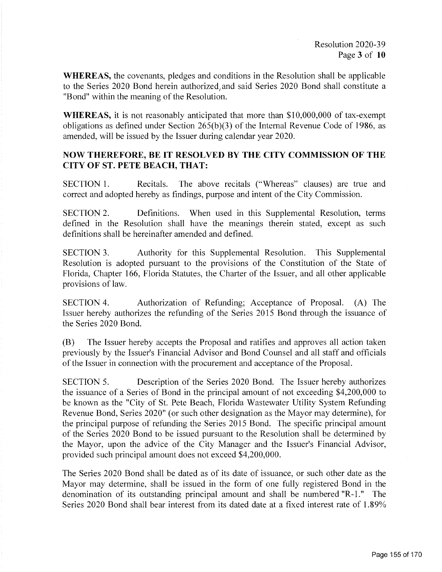WHEREAS, the covenants, pledges and conditions in the Resolution shall be applicable to the Series 2020 Bond herein authorized, and said Series 2020 Bond shall constitute a Bond" within the meaning of the Resolution.

WHEREAS, it is not reasonably anticipated that more than \$10,000,000 of tax-exempt obligations as defined under Section  $265(b)(3)$  of the Internal Revenue Code of 1986, as amended, will be issued by the Issuer during calendar year 2020.

## NOW THEREFORE, BE IT RESOLVED BY THE CITY COMMISSION OF THE CITY OF ST. PETE BEACH, THAT:

SECTION 1. Recitals. The above recitals (" Whereas" clauses) are true and correct and adopted hereby as findings, purpose and intent of the City Commission.

SECTION 2. Definitions. When used in this Supplemental Resolution, terms defined in the Resolution shall have the meanings therein stated, except as such definitions shall be hereinafter amended and defined.

SECTION 3. Authority for this Supplemental Resolution. This Supplemental Resolution is adopted pursuant to the provisions of the Constitution of the State of Florida, Chapter 166, Florida Statutes, the Charter of the Issuer, and all other applicable provisions of law.

SECTION 4. Authorization of Refunding; Acceptance of Proposal. (A) The Issuer hereby authorizes the refunding of the Series 2015 Bond through the issuance of the Series 2020 Bond.

B) The Issuer hereby accepts the Proposal and ratifies and approves all action taken previously by the Issuer's Financial Advisor and Bond Counsel and all staff and officials of the Issuer in connection with the procurement and acceptance of the Proposal.

SECTION 5. Description of the Series 2020 Bond. The Issuer hereby authorizes the issuance of a Series of Bond in the principal amount of not exceeding  $$4,200,000$  to be known as the "City of St. Pete Beach, Florida Wastewater Utility System Refunding Revenue Bond, Series 2020" (or such other designation as the Mayor may determine), for the principal purpose of refunding the Series 2015 Bond. The specific principal amount of the Series 2020 Bond to be issued pursuant to the Resolution shall be determined by the Mayor, upon the advice of the City Manager and the Issuer's Financial Advisor, provided such principal amount does not exceed \$4,200,000.

The Series 2020 Bond shall be dated as of its date of issuance, or such other date as the Mayor may determine, shall be issued in the form of one fully registered Bond in the denomination of its outstanding principal amount and shall be numbered "R-1." The Series 2020 Bond shall bear interest from its dated date at a fixed interest rate of 1.89%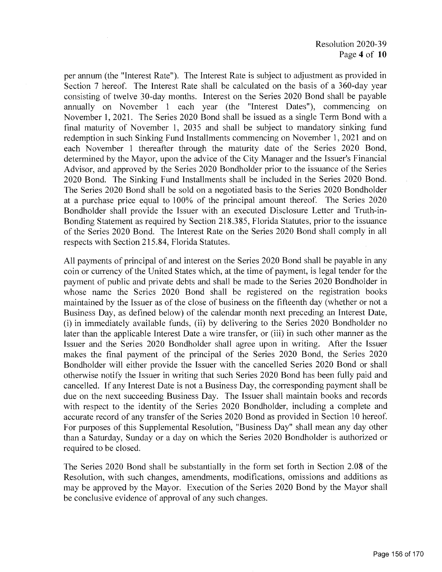per annum ( the " Interest Rate"). The Interest Rate is subject to adjustment as provided in Section 7 hereof. The Interest Rate shall be calculated on the basis of a 360-day year consisting of twelve 30-day months. Interest on the Series 2020 Bond shall be payable annually on November 1 each year (the "Interest Dates"), commencing on November 1, 2021. The Series 2020 Bond shall be issued as a single Term Bond with a final maturity of November 1, 2035 and shall be subject to mandatory sinking fund redemption in such Sinking Fund Installments commencing on November 1, 2021 and on each November 1 thereafter through the maturity date of the Series 2020 Bond, determined by the Mayor, upon the advice of the City Manager and the Issuer's Financial Advisor, and approved by the Series 2020 Bondholder prior to the issuance of the Series 2020 Bond. The Sinking Fund Installments shall be included in the Series 2020 Bond. The Series 2020 Bond shall be sold on a negotiated basis to the Series 2020 Bondholder at a purchase price equal to 100% of the principal amount thereof. The Series 2020 Bondholder shall provide the Issuer with an executed Disclosure Letter and Truth-in-Bonding Statement as required by Section 218. 385, Florida Statutes, prior to the issuance of the Series 2020 Bond. The Interest Rate on the Series 2020 Bond shall comply in all respects with Section 215. 84, Florida Statutes.

All payments of principal of and interest on the Series 2020 Bond shall be payable in any coin or currency of the United States which, at the time of payment, is legal tender for the payment of public and private debts and shall be made to the Series 2020 Bondholder in whose name the Series 2020 Bond shall be registered on the registration books maintained by the Issuer as of the close of business on the fifteenth day (whether or not a Business Day, as defined below) of the calendar month next preceding an Interest Date, (i) in immediately available funds, (ii) by delivering to the Series  $2020$  Bondholder no later than the applicable Interest Date a wire transfer, or (iii) in such other manner as the Issuer and the Series 2020 Bondholder shall agree upon in writing. After the Issuer makes the final payment of the principal of the Series 2020 Bond, the Series 2020 Bondholder will either provide the Issuer with the cancelled Series 2020 Bond or shall otherwise notify the Issuer in writing that such Series 2020 Bond has been fully paid and cancelled. If any Interest Date is not a Business Day, the corresponding payment shall be due on the next succeeding Business Day. The Issuer shall maintain books and records with respect to the identity of the Series 2020 Bondholder, including a complete and accurate record of any transfer of the Series 2020 Bond as provided in Section 10 hereof. For purposes of this Supplemental Resolution, " Business Day" shall mean any day other than a Saturday, Sunday or a day on which the Series 2020 Bondholder is authorized or required to be closed.

The Series 2020 Bond shall be substantially in the form set forth in Section 2. 08 of the Resolution, with such changes, amendments, modifications, omissions and additions as may be approved by the Mayor. Execution of the Series 2020 Bond by the Mayor shall be conclusive evidence of approval of any such changes.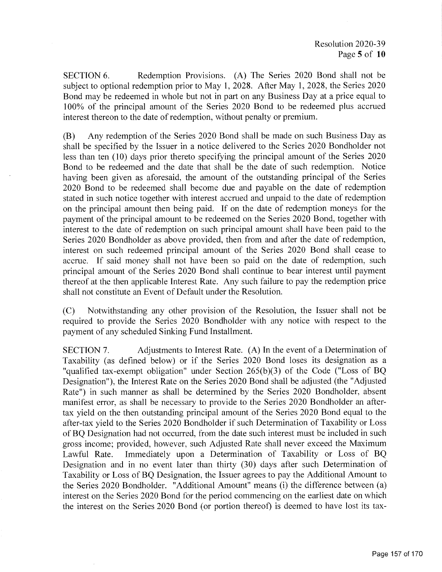SECTION 6. Redemption Provisions. (A) The Series 2020 Bond shall not be subject to optional redemption prior to May 1, 2028. After May 1, 2028, the Series 2020 Bond may be redeemed in whole but not in part on any Business Day at a price equal to 100% of the principal amount of the Series 2020 Bond to be redeemed plus accrued interest thereon to the date of redemption, without penalty or premium.

B) Any redemption of the Series 2020 Bond shall be made on such Business Day as shall be specified by the Issuer in a notice delivered to the Series 2020 Bondholder not less than ten ( 10) days prior thereto specifying the principal amount of the Series 2020 Bond to be redeemed and the date that shall be the date of such redemption. Notice having been given as aforesaid, the amount of the outstanding principal of the Series 2020 Bond to be redeemed shall become due and payable on the date of redemption stated in such notice together with interest accrued and unpaid to the date of redemption on the principal amount then being paid. If on the date of redemption moneys for the payment of the principal amount to be redeemed on the Series 2020 Bond, together with interest to the date of redemption on such principal amount shall have been paid to the Series 2020 Bondholder as above provided, then from and after the date of redemption, interest on such redeemed principal amount of the Series 2020 Bond shall cease to accrue. If said money shall not have been so paid on the date of redemption, such principal amount of the Series 2020 Bond shall continue to bear interest until payment thereof at the then applicable Interest Rate. Any such failure to pay the redemption price shall not constitute an Event of Default under the Resolution.

C) Notwithstanding any other provision of the Resolution, the Issuer shall not be required to provide the Series 2020 Bondholder with any notice with respect to the payment of any scheduled Sinking Fund Installment.

SECTION 7. Adjustments to Interest Rate. (A) In the event of a Determination of Taxability (as defined below) or if the Series 2020 Bond loses its designation as a "qualified tax-exempt obligation" under Section  $265(b)(3)$  of the Code ("Loss of BQ Designation"), the Interest Rate on the Series 2020 Bond shall be adjusted ( the " Adjusted Rate") in such manner as shall be determined by the Series 2020 Bondholder, absent manifest error, as shall be necessary to provide to the Series 2020 Bondholder an aftertax yield on the then outstanding principal amount of the Series 2020 Bond equal to the after- tax yield to the Series 2020 Bondholder if such Determination of Taxability or Loss of BQ Designation had not occurred, from the date such interest must be included in such gross income; provided, however, such Adjusted Rate shall never exceed the Maximum Lawful Rate. Immediately upon a Determination of Taxability or Loss of BQ Designation and in no event later than thirty (30) days after such Determination of Taxability or Loss of BQ Designation, the Issuer agrees to pay the Additional Amount to the Series 2020 Bondholder. "Additional Amount" means (i) the difference between (a) interest on the Series 2020 Bond for the period commencing on the earliest date on which the interest on the Series 2020 Bond (or portion thereof) is deemed to have lost its tax-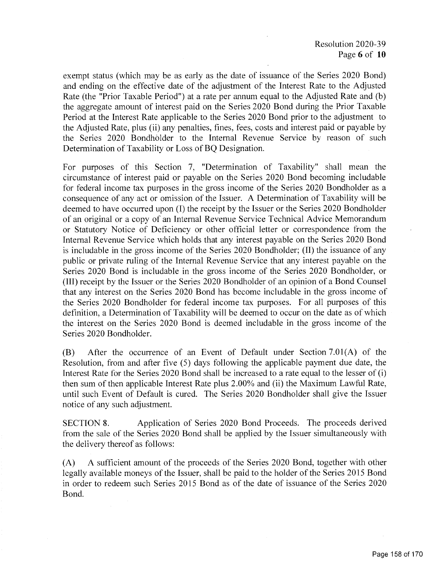Resolution 2020-39 Page 6 of 10

exempt status ( which may be as early as the date of issuance of the Series 2020 Bond) and ending on the effective date of the adjustment of the Interest Rate to the Adjusted Rate (the "Prior Taxable Period") at a rate per annum equal to the Adjusted Rate and (b) the aggregate amount of interest paid on the Series 2020 Bond during the Prior Taxable Period at the Interest Rate applicable to the Series 2020 Bond prior to the adjustment to the Adjusted Rate, plus (ii) any penalties, fines, fees, costs and interest paid or payable by the Series 2020 Bondholder to the Internal Revenue Service by reason of such Determination of Taxability or Loss of BQ Designation.

For purposes of this Section 7, "Determination of Taxability" shall mean the circumstance of interest paid or payable on the Series 2020 Bond becoming includable for federal income tax purposes in the gross income of the Series 2020 Bondholder as a consequence of any act or omission of the Issuer. A Determination of Taxability will be deemed to have occurred upon (I) the receipt by the Issuer or the Series 2020 Bondholder of an original or a copy of an Internal Revenue Service Technical Advice Memorandum or Statutory Notice of Deficiency or other official letter or correspondence from the Internal Revenue Service which holds that any interest payable on the Series 2020 Bond is includable in the gross income of the Series 2020 Bondholder; (II) the issuance of any public or private ruling of the Internal Revenue Service that any interest payable on the Series 2020 Bond is includable in the gross income of the Series 2020 Bondholder, or III) receipt by the Issuer or the Series 2020 Bondholder of an opinion of a Bond Counsel that any interest on the Series 2020 Bond has become includable in the gross income of the Series 2020 Bondholder for federal income tax purposes. For all purposes of this definition, a Determination of Taxability will be deemed to occur on the date as of which the interest on the Series 2020 Bond is deemed includable in the gross income of the Series 2020 Bondholder.

 $(B)$  After the occurrence of an Event of Default under Section 7.01(A) of the Resolution, from and after five (5) days following the applicable payment due date, the Interest Rate for the Series 2020 Bond shall be increased to a rate equal to the lesser of (i) then sum of then applicable Interest Rate plus 2.00% and (ii) the Maximum Lawful Rate, until such Event of Default is cured. The Series 2020 Bondholder shall give the Issuer notice of any such adjustment.

SECTION 8. Application of Series 2020 Bond Proceeds. The proceeds derived from the sale of the Series 2020 Bond shall be applied by the Issuer simultaneously with the delivery thereof as follows:

A) A sufficient amount of the proceeds of the Series 2020 Bond, together with other legally available moneys of the Issuer, shall be paid to the holder of the Series 2015 Bond in order to redeem such Series 2015 Bond as of the date of issuance of the Series 2020 Bond.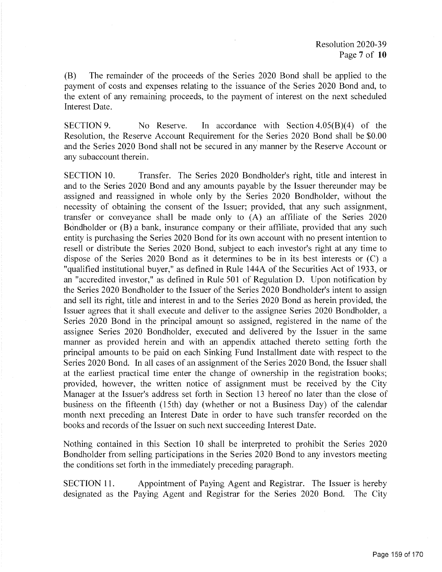B) The remainder of the proceeds of the Series 2020 Bond shall be applied to the payment of costs and expenses relating to the issuance of the Series 2020 Bond and, to the extent of any remaining proceeds, to the payment of interest on the next scheduled Interest Date.

SECTION 9. No Reserve. In accordance with Section  $4.05(B)(4)$  of the Resolution, the Reserve Account Requirement for the Series 2020 Bond shall be \$0.00 and the Series 2020 Bond shall not be secured in any manner by the Reserve Account or any subaccount therein.

SECTION 10. Transfer. The Series 2020 Bondholder's right, title and interest in and to the Series 2020 Bond and any amounts payable by the Issuer thereunder may be assigned and reassigned in whole only by the Series 2020 Bondholder, without the necessity of obtaining the consent of the Issuer; provided, that any such assignment, transfer or conveyance shall be made only to  $(A)$  an affiliate of the Series 2020 Bondholder or  $(B)$  a bank, insurance company or their affiliate, provided that any such entity is purchasing the Series 2020 Bond for its own account with no present intention to resell or distribute the Series 2020 Bond, subject to each investor's right at any time to dispose of the Series 2020 Bond as it determines to be in its best interests or  $(C)$  a qualified institutional buyer," as defined in Rule 144A of the Securities Act of 1933, or an " accredited investor," as defined in Rule 501 of Regulation D. Upon notification by the Series 2020 Bondholder to the Issuer of the Series 2020 Bondholder's intent to assign and sell its right, title and interest in and to the Series 2020 Bond as herein provided, the Issuer agrees that it shall execute and deliver to the assignee Series 2020 Bondholder, a Series 2020 Bond in the principal amount so assigned, registered in the name of the assignee Series 2020 Bondholder, executed and delivered by the Issuer in the same manner as provided herein and with an appendix attached thereto setting forth the principal amounts to be paid on each Sinking Fund Installment date with respect to the Series 2020 Bond. In all cases of an assignment of the Series 2020 Bond, the Issuer shall at the earliest practical time enter the change of ownership in the registration books; provided, however, the written notice of assignment must be received by the City Manager at the Issuer's address set forth in Section 13 hereof no later than the close of business on the fifteenth (15th) day (whether or not a Business Day) of the calendar month next preceding an Interest Date in order to have such transfer recorded on the books and records of the Issuer on such next succeeding Interest Date.

Nothing contained in this Section 10 shall be interpreted to prohibit the Series 2020 Bondholder from selling participations in the Series 2020 Bond to any investors meeting the conditions set forth in the immediately preceding paragraph.

SECTION 11. Appointment of Paying Agent and Registrar. The Issuer is hereby designated as the Paying Agent and Registrar for the Series 2020 Bond. The City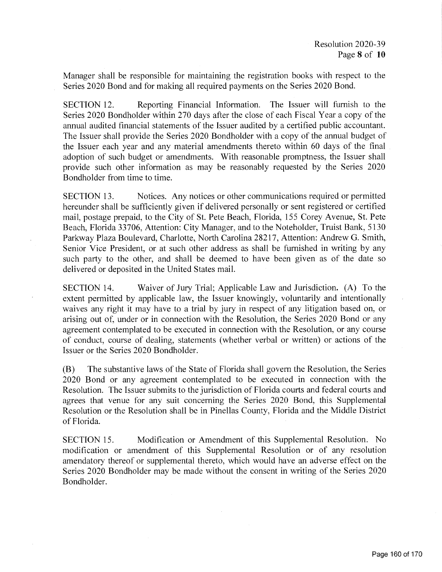Manager shall be responsible for maintaining the registration books with respect to the Series 2020 Bond and for making all required payments on the Series 2020 Bond.

SECTION 12. Reporting Financial Information. The Issuer will furnish to the Series 2020 Bondholder within 270 days after the close of each Fiscal Year a copy of the annual audited financial statements of the Issuer audited by a certified public accountant. The Issuer shall provide the Series 2020 Bondholder with a copy of the annual budget of the Issuer each year and any material amendments thereto within 60 days of the final adoption of such budget or amendments. With reasonable promptness, the Issuer shall provide such other information as may be reasonably requested by the Series 2020 Bondholder from time to time.

SECTION 13. Notices. Any notices or other communications required or permitted hereunder shall be sufficiently given if delivered personally or sent registered or certified mail, postage prepaid, to the City of St. Pete Beach, Florida, 155 Corey Avenue, St. Pete Beach, Florida 33706, Attention: City Manager, and to the Noteholder, Truist Bank, 5130 Parkway Plaza Boulevard, Charlotte, North Carolina 28217, Attention: Andrew G. Smith, Senior Vice President, or at such other address as shall be furnished in writing by any such party to the other, and shall be deemed to have been given as of the date so delivered or deposited in the United States mail.

SECTION 14. Waiver of Jury Trial; Applicable Law and Jurisdiction. (A) To the extent permitted by applicable law, the Issuer knowingly, voluntarily and intentionally waives any right it may have to a trial by jury in respect of any litigation based on, or arising out of, under or in connection with the Resolution, the Series 2020 Bond or any agreement contemplated to be executed in connection with the Resolution, or any course of conduct, course of dealing, statements ( whether verbal or written) or actions of the Issuer or the Series 2020 Bondholder.

B) The substantive laws of the State of Florida shall govern the Resolution, the Series 2020 Bond or any agreement contemplated to be executed in connection with the Resolution. The Issuer submits to the jurisdiction of Florida courts and federal courts and agrees that venue for any suit concerning the Series 2020 Bond, this Supplemental Resolution or the Resolution shall be in Pinellas County, Florida and the Middle District of Florida.

SECTION 15. Modification or Amendment of this Supplemental Resolution. No modification or amendment of this Supplemental Resolution or of any resolution amendatory thereof or supplemental thereto, which would have an adverse effect on the Series 2020 Bondholder may be made without the consent in writing of the Series 2020 Bondholder.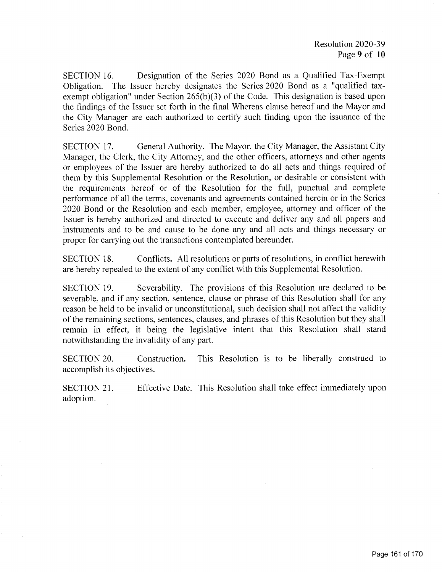SECTION 16. Designation of the Series 2020 Bond as a Qualified Tax -Exempt Obligation. The Issuer hereby designates the Series 2020 Bond as a " qualified taxexempt obligation" under Section  $265(b)(3)$  of the Code. This designation is based upon the findings of the Issuer set forth in the final Whereas clause hereof and the Mayor and the City Manager are each authorized to certify such finding upon the issuance of the Series 2020 Bond.

SECTION 17. General Authority. The Mayor, the City Manager, the Assistant City Manager, the Clerk, the City Attorney, and the other officers, attorneys and other agents or employees of the Issuer are hereby authorized to do all acts and things required of them by this Supplemental Resolution or the Resolution, or desirable or consistent with the requirements hereof or of the Resolution for the full, punctual and complete performance of all the terms, covenants and agreements contained herein or in the Series 2020 Bond or the Resolution and each member, employee, attorney and officer of the Issuer is hereby authorized and directed to execute and deliver any and all papers and instruments and to be and cause to be done any and all acts and things necessary or proper for carrying out the transactions contemplated hereunder.

SECTION 18. Conflicts. All resolutions or parts of resolutions, in conflict herewith are hereby repealed to the extent of any conflict with this Supplemental Resolution.

SECTION 19. Severability. The provisions of this Resolution are declared to be severable, and if any section, sentence, clause or phrase of this Resolution shall for any reason be held to be invalid or unconstitutional, such decision shall not affect the validity of the remaining sections, sentences, clauses, and phrases of this Resolution but they shall remain in effect, it being the legislative intent that this Resolution shall stand notwithstanding the invalidity of any part.

SECTION 20. Construction. This Resolution is to be liberally construed to accomplish its objectives.

SECTION 21. Effective Date. This Resolution shall take effect immediately upon adoption.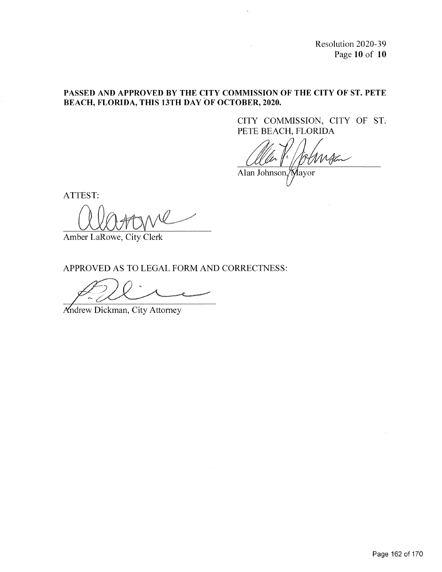Resolution 2020-39 Page 10 of 10

### PASSED AND APPROVED BY THE CITY COMMISSION OF THE CITY OF ST. PETE BEACH, FLORIDA, THIS 13TH DAY OF OCTOBER, 2020.

CITY COMMISSION, CITY OF ST. PETE BEACH, FLORIDA

l. Alan Johnson, Mayor

ATTEST:

Amber LaRowe, City Clerk

APPROVED AS TO LEGAL FORM AND CORRECTNESS:

 $\sim$ 

ndrew Dickman, City Attorney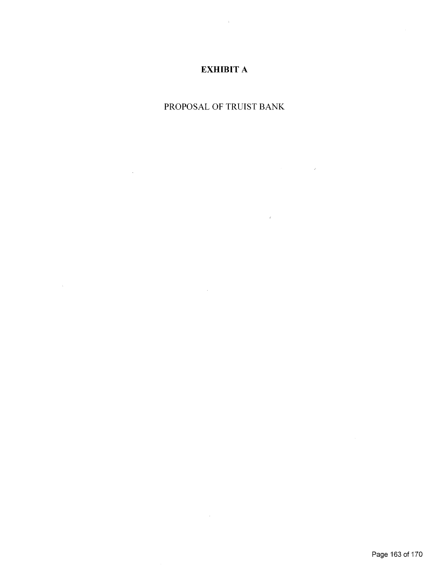# EXHIBIT A

 $\bar{\chi}$ 

## PROPOSAL OF TRUIST BANK

 $\mathcal{L}^{\text{max}}_{\text{max}}$ 

 $\label{eq:2.1} \frac{1}{\sqrt{2}}\int_{\mathbb{R}^3}\frac{1}{\sqrt{2}}\left(\frac{1}{\sqrt{2}}\right)^2\frac{1}{\sqrt{2}}\left(\frac{1}{\sqrt{2}}\right)^2\frac{1}{\sqrt{2}}\left(\frac{1}{\sqrt{2}}\right)^2\frac{1}{\sqrt{2}}\left(\frac{1}{\sqrt{2}}\right)^2\frac{1}{\sqrt{2}}\left(\frac{1}{\sqrt{2}}\right)^2.$ 

 $\label{eq:2.1} \frac{1}{\sqrt{2}}\int_{\mathbb{R}^3}\frac{1}{\sqrt{2}}\left(\frac{1}{\sqrt{2}}\right)^2\frac{1}{\sqrt{2}}\left(\frac{1}{\sqrt{2}}\right)^2\frac{1}{\sqrt{2}}\left(\frac{1}{\sqrt{2}}\right)^2\frac{1}{\sqrt{2}}\left(\frac{1}{\sqrt{2}}\right)^2\frac{1}{\sqrt{2}}\left(\frac{1}{\sqrt{2}}\right)^2.$ 

 $\label{eq:2.1} \mathcal{L}(\mathcal{L}^{\text{max}}_{\text{max}}(\mathbf{x})) = \mathcal{L}(\mathcal{L}^{\text{max}}_{\text{max}}(\mathbf{x}))$ 

 $\mathcal{L}^{\text{max}}_{\text{max}}$ 

 $\mathcal{L}(\mathcal{A})$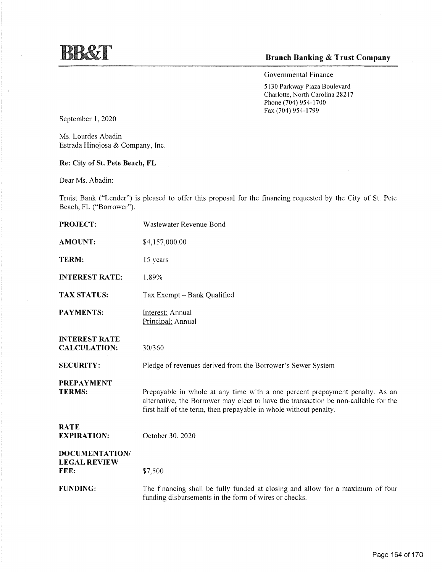## Branch Banking & Trust Company

Governmental Finance

5130 Parkway Plaza Boulevard Charlotte, North Carolina 28217 Phone (704) 954-1700 Fax (704) 954-1799

September 1, 2020

Ms. Lourdes Abadin Estrada Hinojosa & Company, Inc.

Re: City of St. Pete Beach, FL

Dear Ms. Abadin:

Truist Bank ("Lender") is pleased to offer this proposal for the financing requested by the City of St. Pete Beach, FL ("Borrower").

| <b>PROJECT:</b>                               | Wastewater Revenue Bond                                                                                                                                                                                                                  |
|-----------------------------------------------|------------------------------------------------------------------------------------------------------------------------------------------------------------------------------------------------------------------------------------------|
| <b>AMOUNT:</b>                                | \$4,157,000.00                                                                                                                                                                                                                           |
| TERM:                                         | 15 years                                                                                                                                                                                                                                 |
| <b>INTEREST RATE:</b>                         | 1.89%                                                                                                                                                                                                                                    |
| <b>TAX STATUS:</b>                            | Tax Exempt - Bank Qualified                                                                                                                                                                                                              |
| <b>PAYMENTS:</b>                              | Interest: Annual<br>Principal: Annual                                                                                                                                                                                                    |
| <b>INTEREST RATE</b><br><b>CALCULATION:</b>   | 30/360                                                                                                                                                                                                                                   |
| <b>SECURITY:</b>                              | Pledge of revenues derived from the Borrower's Sewer System                                                                                                                                                                              |
| <b>PREPAYMENT</b><br><b>TERMS:</b>            | Prepayable in whole at any time with a one percent prepayment penalty. As an<br>alternative, the Borrower may elect to have the transaction be non-callable for the<br>first half of the term, then prepayable in whole without penalty. |
| <b>RATE</b><br><b>EXPIRATION:</b>             | October 30, 2020                                                                                                                                                                                                                         |
| DOCUMENTATION/<br><b>LEGAL REVIEW</b><br>FEE: | \$7,500                                                                                                                                                                                                                                  |
| <b>FUNDING:</b>                               | The financing shall be fully funded at closing and allow for a maximum of four<br>funding disbursements in the form of wires or checks.                                                                                                  |